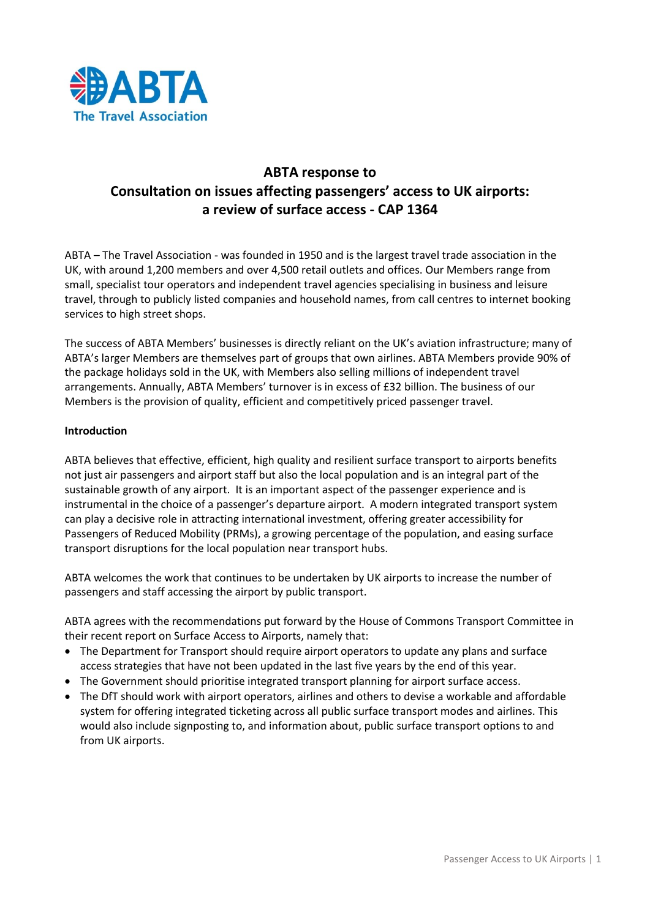

# **ABTA response to Consultation on issues affecting passengers' access to UK airports: a review of surface access - CAP 1364**

ABTA – The Travel Association - was founded in 1950 and is the largest travel trade association in the UK, with around 1,200 members and over 4,500 retail outlets and offices. Our Members range from small, specialist tour operators and independent travel agencies specialising in business and leisure travel, through to publicly listed companies and household names, from call centres to internet booking services to high street shops.

The success of ABTA Members' businesses is directly reliant on the UK's aviation infrastructure; many of ABTA's larger Members are themselves part of groups that own airlines. ABTA Members provide 90% of the package holidays sold in the UK, with Members also selling millions of independent travel arrangements. Annually, ABTA Members' turnover is in excess of £32 billion. The business of our Members is the provision of quality, efficient and competitively priced passenger travel.

## **Introduction**

ABTA believes that effective, efficient, high quality and resilient surface transport to airports benefits not just air passengers and airport staff but also the local population and is an integral part of the sustainable growth of any airport. It is an important aspect of the passenger experience and is instrumental in the choice of a passenger's departure airport. A modern integrated transport system can play a decisive role in attracting international investment, offering greater accessibility for Passengers of Reduced Mobility (PRMs), a growing percentage of the population, and easing surface transport disruptions for the local population near transport hubs.

ABTA welcomes the work that continues to be undertaken by UK airports to increase the number of passengers and staff accessing the airport by public transport.

ABTA agrees with the recommendations put forward by the House of Commons Transport Committee in their recent report on Surface Access to Airports, namely that:

- The Department for Transport should require airport operators to update any plans and surface access strategies that have not been updated in the last five years by the end of this year.
- The Government should prioritise integrated transport planning for airport surface access.
- The DfT should work with airport operators, airlines and others to devise a workable and affordable system for offering integrated ticketing across all public surface transport modes and airlines. This would also include signposting to, and information about, public surface transport options to and from UK airports.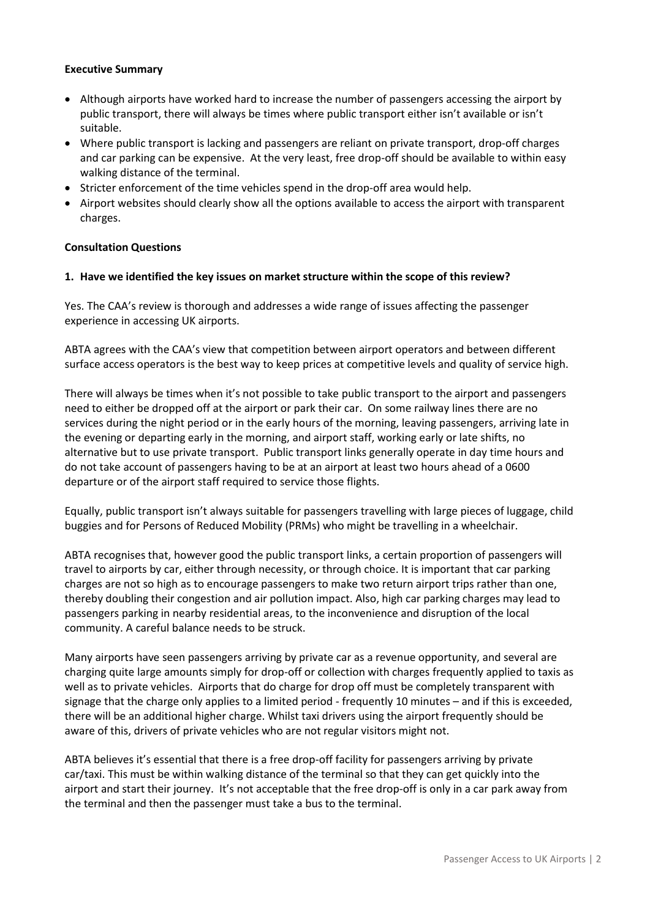## **Executive Summary**

- Although airports have worked hard to increase the number of passengers accessing the airport by public transport, there will always be times where public transport either isn't available or isn't suitable.
- Where public transport is lacking and passengers are reliant on private transport, drop-off charges and car parking can be expensive. At the very least, free drop-off should be available to within easy walking distance of the terminal.
- Stricter enforcement of the time vehicles spend in the drop-off area would help.
- Airport websites should clearly show all the options available to access the airport with transparent charges.

#### **Consultation Questions**

#### **1. Have we identified the key issues on market structure within the scope of this review?**

Yes. The CAA's review is thorough and addresses a wide range of issues affecting the passenger experience in accessing UK airports.

ABTA agrees with the CAA's view that competition between airport operators and between different surface access operators is the best way to keep prices at competitive levels and quality of service high.

There will always be times when it's not possible to take public transport to the airport and passengers need to either be dropped off at the airport or park their car. On some railway lines there are no services during the night period or in the early hours of the morning, leaving passengers, arriving late in the evening or departing early in the morning, and airport staff, working early or late shifts, no alternative but to use private transport. Public transport links generally operate in day time hours and do not take account of passengers having to be at an airport at least two hours ahead of a 0600 departure or of the airport staff required to service those flights.

Equally, public transport isn't always suitable for passengers travelling with large pieces of luggage, child buggies and for Persons of Reduced Mobility (PRMs) who might be travelling in a wheelchair.

ABTA recognises that, however good the public transport links, a certain proportion of passengers will travel to airports by car, either through necessity, or through choice. It is important that car parking charges are not so high as to encourage passengers to make two return airport trips rather than one, thereby doubling their congestion and air pollution impact. Also, high car parking charges may lead to passengers parking in nearby residential areas, to the inconvenience and disruption of the local community. A careful balance needs to be struck.

Many airports have seen passengers arriving by private car as a revenue opportunity, and several are charging quite large amounts simply for drop-off or collection with charges frequently applied to taxis as well as to private vehicles. Airports that do charge for drop off must be completely transparent with signage that the charge only applies to a limited period - frequently 10 minutes – and if this is exceeded, there will be an additional higher charge. Whilst taxi drivers using the airport frequently should be aware of this, drivers of private vehicles who are not regular visitors might not.

ABTA believes it's essential that there is a free drop-off facility for passengers arriving by private car/taxi. This must be within walking distance of the terminal so that they can get quickly into the airport and start their journey. It's not acceptable that the free drop-off is only in a car park away from the terminal and then the passenger must take a bus to the terminal.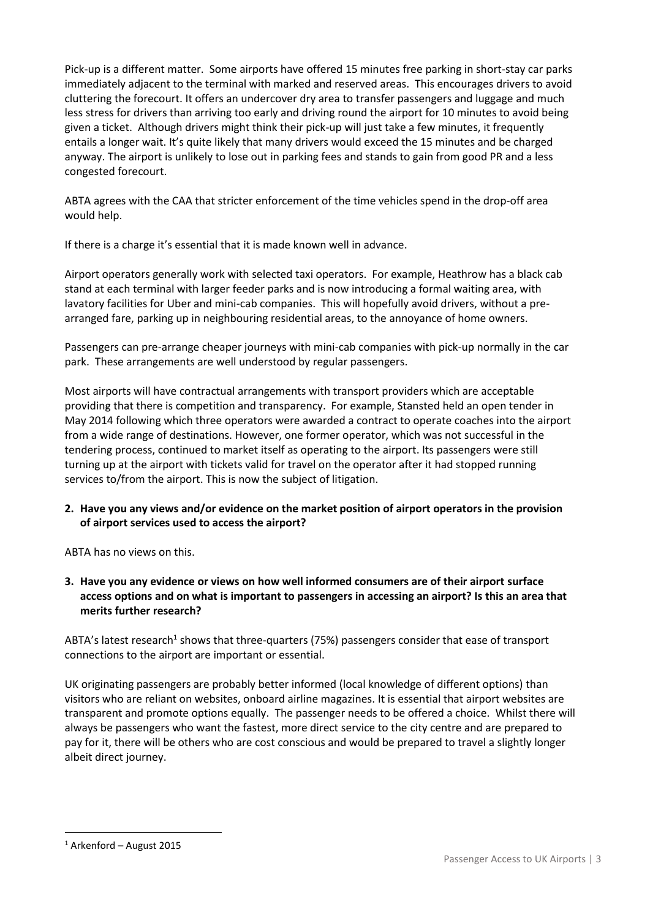Pick-up is a different matter. Some airports have offered 15 minutes free parking in short-stay car parks immediately adjacent to the terminal with marked and reserved areas. This encourages drivers to avoid cluttering the forecourt. It offers an undercover dry area to transfer passengers and luggage and much less stress for drivers than arriving too early and driving round the airport for 10 minutes to avoid being given a ticket. Although drivers might think their pick-up will just take a few minutes, it frequently entails a longer wait. It's quite likely that many drivers would exceed the 15 minutes and be charged anyway. The airport is unlikely to lose out in parking fees and stands to gain from good PR and a less congested forecourt.

ABTA agrees with the CAA that stricter enforcement of the time vehicles spend in the drop-off area would help.

If there is a charge it's essential that it is made known well in advance.

Airport operators generally work with selected taxi operators. For example, Heathrow has a black cab stand at each terminal with larger feeder parks and is now introducing a formal waiting area, with lavatory facilities for Uber and mini-cab companies. This will hopefully avoid drivers, without a prearranged fare, parking up in neighbouring residential areas, to the annoyance of home owners.

Passengers can pre-arrange cheaper journeys with mini-cab companies with pick-up normally in the car park. These arrangements are well understood by regular passengers.

Most airports will have contractual arrangements with transport providers which are acceptable providing that there is competition and transparency. For example, Stansted held an open tender in May 2014 following which three operators were awarded a contract to operate coaches into the airport from a wide range of destinations. However, one former operator, which was not successful in the tendering process, continued to market itself as operating to the airport. Its passengers were still turning up at the airport with tickets valid for travel on the operator after it had stopped running services to/from the airport. This is now the subject of litigation.

# **2. Have you any views and/or evidence on the market position of airport operators in the provision of airport services used to access the airport?**

ABTA has no views on this.

**3. Have you any evidence or views on how well informed consumers are of their airport surface access options and on what is important to passengers in accessing an airport? Is this an area that merits further research?** 

ABTA's latest research<sup>1</sup> shows that three-quarters (75%) passengers consider that ease of transport connections to the airport are important or essential.

UK originating passengers are probably better informed (local knowledge of different options) than visitors who are reliant on websites, onboard airline magazines. It is essential that airport websites are transparent and promote options equally. The passenger needs to be offered a choice. Whilst there will always be passengers who want the fastest, more direct service to the city centre and are prepared to pay for it, there will be others who are cost conscious and would be prepared to travel a slightly longer albeit direct journey.

L,

<sup>1</sup> Arkenford – August 2015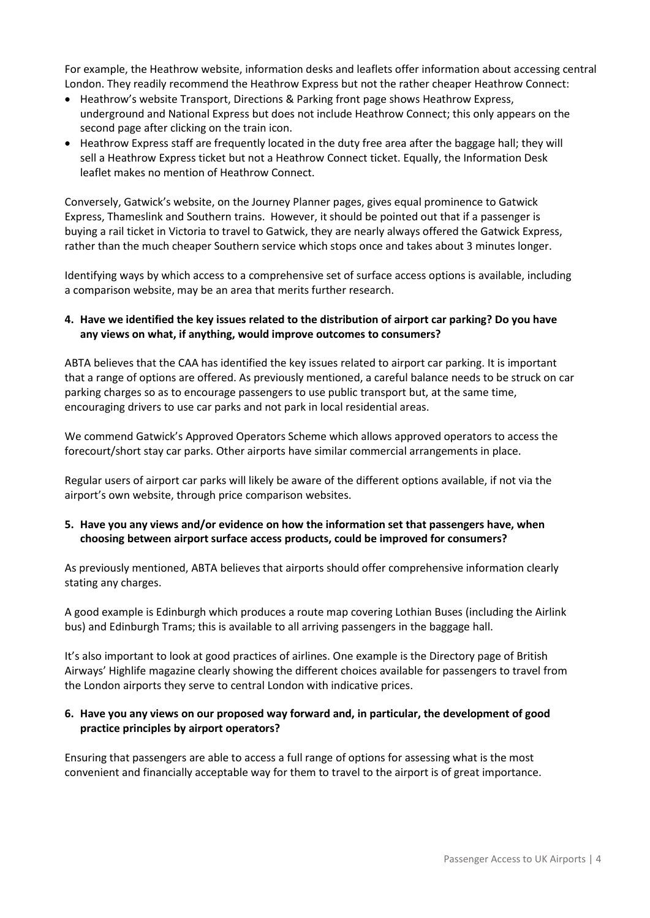For example, the Heathrow website, information desks and leaflets offer information about accessing central London. They readily recommend the Heathrow Express but not the rather cheaper Heathrow Connect:

- Heathrow's website Transport, Directions & Parking front page shows Heathrow Express, underground and National Express but does not include Heathrow Connect; this only appears on the second page after clicking on the train icon.
- Heathrow Express staff are frequently located in the duty free area after the baggage hall; they will sell a Heathrow Express ticket but not a Heathrow Connect ticket. Equally, the Information Desk leaflet makes no mention of Heathrow Connect.

Conversely, Gatwick's website, on the Journey Planner pages, gives equal prominence to Gatwick Express, Thameslink and Southern trains. However, it should be pointed out that if a passenger is buying a rail ticket in Victoria to travel to Gatwick, they are nearly always offered the Gatwick Express, rather than the much cheaper Southern service which stops once and takes about 3 minutes longer.

Identifying ways by which access to a comprehensive set of surface access options is available, including a comparison website, may be an area that merits further research.

## **4. Have we identified the key issues related to the distribution of airport car parking? Do you have any views on what, if anything, would improve outcomes to consumers?**

ABTA believes that the CAA has identified the key issues related to airport car parking. It is important that a range of options are offered. As previously mentioned, a careful balance needs to be struck on car parking charges so as to encourage passengers to use public transport but, at the same time, encouraging drivers to use car parks and not park in local residential areas.

We commend Gatwick's Approved Operators Scheme which allows approved operators to access the forecourt/short stay car parks. Other airports have similar commercial arrangements in place.

Regular users of airport car parks will likely be aware of the different options available, if not via the airport's own website, through price comparison websites.

## **5. Have you any views and/or evidence on how the information set that passengers have, when choosing between airport surface access products, could be improved for consumers?**

As previously mentioned, ABTA believes that airports should offer comprehensive information clearly stating any charges.

A good example is Edinburgh which produces a route map covering Lothian Buses (including the Airlink bus) and Edinburgh Trams; this is available to all arriving passengers in the baggage hall.

It's also important to look at good practices of airlines. One example is the Directory page of British Airways' Highlife magazine clearly showing the different choices available for passengers to travel from the London airports they serve to central London with indicative prices.

# **6. Have you any views on our proposed way forward and, in particular, the development of good practice principles by airport operators?**

Ensuring that passengers are able to access a full range of options for assessing what is the most convenient and financially acceptable way for them to travel to the airport is of great importance.